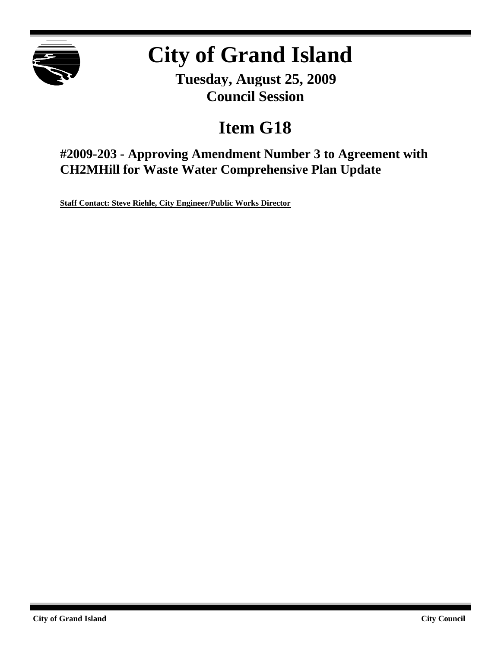

# **City of Grand Island**

**Tuesday, August 25, 2009 Council Session**

## **Item G18**

**#2009-203 - Approving Amendment Number 3 to Agreement with CH2MHill for Waste Water Comprehensive Plan Update**

**Staff Contact: Steve Riehle, City Engineer/Public Works Director**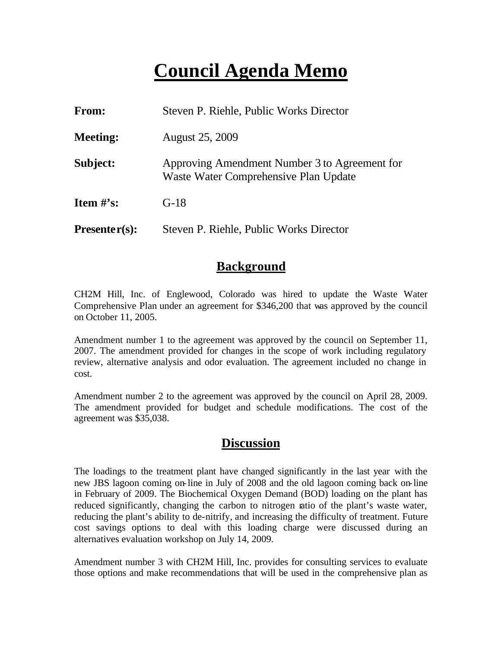## **Council Agenda Memo**

| <b>From:</b>    | Steven P. Riehle, Public Works Director                                                |  |
|-----------------|----------------------------------------------------------------------------------------|--|
| <b>Meeting:</b> | <b>August 25, 2009</b>                                                                 |  |
| Subject:        | Approving Amendment Number 3 to Agreement for<br>Waste Water Comprehensive Plan Update |  |
| Item $\#$ 's:   | $G-18$                                                                                 |  |
| $Presenter(s):$ | Steven P. Riehle, Public Works Director                                                |  |

### **Background**

CH2M Hill, Inc. of Englewood, Colorado was hired to update the Waste Water Comprehensive Plan under an agreement for \$346,200 that was approved by the council on October 11, 2005.

Amendment number 1 to the agreement was approved by the council on September 11, 2007. The amendment provided for changes in the scope of work including regulatory review, alternative analysis and odor evaluation. The agreement included no change in cost.

Amendment number 2 to the agreement was approved by the council on April 28, 2009. The amendment provided for budget and schedule modifications. The cost of the agreement was \$35,038.

#### **Discussion**

The loadings to the treatment plant have changed significantly in the last year with the new JBS lagoon coming on-line in July of 2008 and the old lagoon coming back on-line in February of 2009. The Biochemical Oxygen Demand (BOD) loading on the plant has reduced significantly, changing the carbon to nitrogen ratio of the plant's waste water, reducing the plant's ability to de-nitrify, and increasing the difficulty of treatment. Future cost savings options to deal with this loading charge were discussed during an alternatives evaluation workshop on July 14, 2009.

Amendment number 3 with CH2M Hill, Inc. provides for consulting services to evaluate those options and make recommendations that will be used in the comprehensive plan as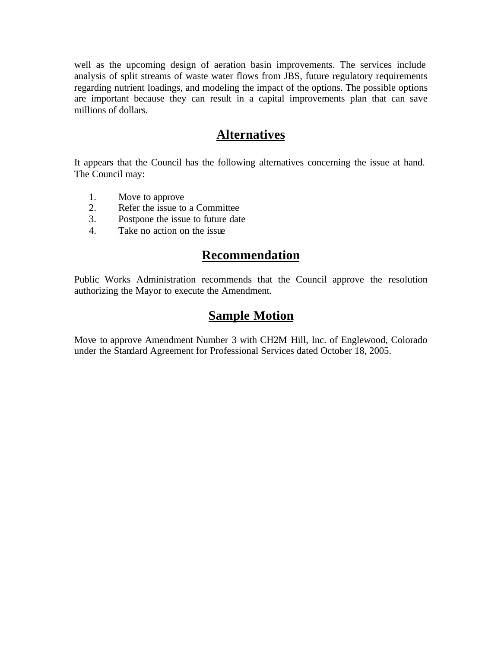well as the upcoming design of aeration basin improvements. The services include analysis of split streams of waste water flows from JBS, future regulatory requirements regarding nutrient loadings, and modeling the impact of the options. The possible options are important because they can result in a capital improvements plan that can save millions of dollars.

## **Alternatives**

It appears that the Council has the following alternatives concerning the issue at hand. The Council may:

- 1. Move to approve
- 2. Refer the issue to a Committee
- 3. Postpone the issue to future date
- 4. Take no action on the issue

## **Recommendation**

Public Works Administration recommends that the Council approve the resolution authorizing the Mayor to execute the Amendment.

### **Sample Motion**

Move to approve Amendment Number 3 with CH2M Hill, Inc. of Englewood, Colorado under the Standard Agreement for Professional Services dated October 18, 2005.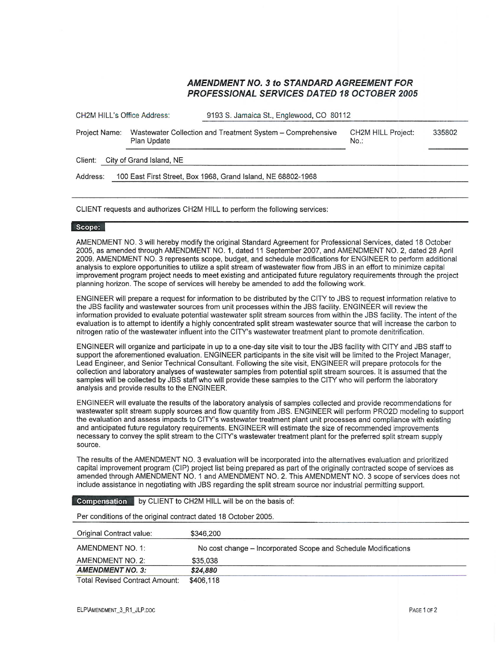#### **AMENDMENT NO. 3 to STANDARD AGREEMENT FOR PROFESSIONAL SERVICES DATED 18 OCTOBER 2005**

| <b>CH2M HILL's Office Address:</b>                                       |                                                                           | 9193 S. Jamaica St., Englewood, CO 80112                                    |                                      |        |  |
|--------------------------------------------------------------------------|---------------------------------------------------------------------------|-----------------------------------------------------------------------------|--------------------------------------|--------|--|
| Project Name:                                                            | Wastewater Collection and Treatment System - Comprehensive<br>Plan Update |                                                                             | <b>CH2M HILL Project:</b><br>$No.$ : | 335802 |  |
| Client:                                                                  | City of Grand Island, NE                                                  |                                                                             |                                      |        |  |
| 100 East First Street, Box 1968, Grand Island, NE 68802-1968<br>Address: |                                                                           |                                                                             |                                      |        |  |
|                                                                          |                                                                           |                                                                             |                                      |        |  |
|                                                                          |                                                                           | CLIENT requests and authorizes CH2M HILL to perform the following services: |                                      |        |  |

#### Scope:

AMENDMENT NO. 3 will hereby modify the original Standard Agreement for Professional Services, dated 18 October 2005, as amended through AMENDMENT NO. 1, dated 11 September 2007, and AMENDMENT NO. 2, dated 28 April 2009. AMENDMENT NO. 3 represents scope, budget, and schedule modifications for ENGINEER to perform additional analysis to explore opportunities to utilize a split stream of wastewater flow from JBS in an effort to minimize capital improvement program project needs to meet existing and anticipated future regulatory requirements through the project planning horizon. The scope of services will hereby be amended to add the following work.

ENGINEER will prepare a request for information to be distributed by the CITY to JBS to request information relative to the JBS facility and wastewater sources from unit processes within the JBS facility. ENGINEER will review the information provided to evaluate potential wastewater split stream sources from within the JBS facility. The intent of the evaluation is to attempt to identify a highly concentrated split stream wastewater source that will increase the carbon to nitrogen ratio of the wastewater influent into the CITY's wastewater treatment plant to promote denitrification.

ENGINEER will organize and participate in up to a one-day site visit to tour the JBS facility with CITY and JBS staff to support the aforementioned evaluation. ENGINEER participants in the site visit will be limited to the Project Manager, Lead Engineer, and Senior Technical Consultant. Following the site visit. ENGINEER will prepare protocols for the collection and laboratory analyses of wastewater samples from potential split stream sources. It is assumed that the samples will be collected by JBS staff who will provide these samples to the CITY who will perform the laboratory analysis and provide results to the ENGINEER.

ENGINEER will evaluate the results of the laboratory analysis of samples collected and provide recommendations for wastewater split stream supply sources and flow quantity from JBS. ENGINEER will perform PRO2D modeling to support the evaluation and assess impacts to CITY's wastewater treatment plant unit processes and compliance with existing and anticipated future regulatory requirements. ENGINEER will estimate the size of recommended improvements necessary to convey the split stream to the CITY's wastewater treatment plant for the preferred split stream supply source.

The results of the AMENDMENT NO. 3 evaluation will be incorporated into the alternatives evaluation and prioritized capital improvement program (CIP) project list being prepared as part of the originally contracted scope of services as amended through AMENDMENT NO. 1 and AMENDMENT NO. 2. This AMENDMENT NO. 3 scope of services does not include assistance in negotiating with JBS regarding the split stream source nor industrial permitting support.

#### Compensation by CLIENT to CH2M HILL will be on the basis of: Per conditions of the original contract dated 18 October 2005. Original Contract value: \$346,200 AMENDMENT NO. 1: No cost change - Incorporated Scope and Schedule Modifications AMENDMENT NO. 2: \$35,038 **AMENDMENT NO. 3:** \$24,880

**Total Revised Contract Amount:** \$406.118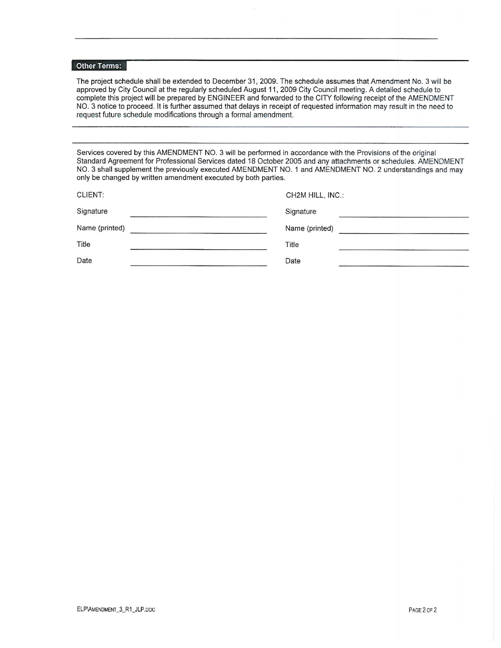#### Other Terms:

The project schedule shall be extended to December 31, 2009. The schedule assumes that Amendment No. 3 will be approved by City Council at the regularly scheduled August 11, 2009 City Council meeting. A detailed schedule to complete this project will be prepared by ENGINEER and forwarded to the CITY following receipt of the AMENDMENT NO. 3 notice to proceed. It is further assumed that delays in receipt of requested information may result in the need to request future schedule modifications through a formal amendment.

Services covered by this AMENDMENT NO. 3 will be performed in accordance with the Provisions of the original Standard Agreement for Professional Services dated 18 October 2005 and any attachments or schedules. AMENDMENT NO. 3 shall supplement the previously executed AMENDMENT NO. 1 and AMENDMENT NO. 2 understandings and may only be changed by written amendment executed by both parties.

| <b>CLIENT:</b> | CH2M HILL, INC.: |
|----------------|------------------|
| Signature      | Signature        |
| Name (printed) | Name (printed)   |
| Title          | Title            |
| Date           | Date             |